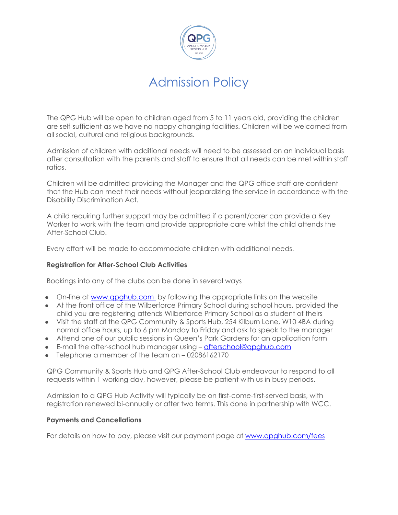

The QPG Hub will be open to children aged from 5 to 11 years old, providing the children are self-sufficient as we have no nappy changing facilities. Children will be welcomed from all social, cultural and religious backgrounds.

Admission of children with additional needs will need to be assessed on an individual basis after consultation with the parents and staff to ensure that all needs can be met within staff ratios.

Children will be admitted providing the Manager and the QPG office staff are confident that the Hub can meet their needs without jeopardizing the service in accordance with the Disability Discrimination Act.

A child requiring further support may be admitted if a parent/carer can provide a Key Worker to work with the team and provide appropriate care whilst the child attends the After-School Club.

Every effort will be made to accommodate children with additional needs.

### **Registration for After-School Club Activities**

Bookings into any of the clubs can be done in several ways

- On-line at www.qpghub.com by following the appropriate links on the website
- At the front office of the Wilberforce Primary School during school hours, provided the child you are registering attends Wilberforce Primary School as a student of theirs
- Visit the staff at the QPG Community & Sports Hub, 254 Kilburn Lane, W10 4BA during normal office hours, up to 6 pm Monday to Friday and ask to speak to the manager
- Attend one of our public sessions in Queen's Park Gardens for an application form
- E-mail the after-school hub manager using [afterschool@qpghub.com](mailto:afterschool@qpghub.com)
- Telephone a member of the team on 02086162170

QPG Community & Sports Hub and QPG After-School Club endeavour to respond to all requests within 1 working day, however, please be patient with us in busy periods.

Admission to a QPG Hub Activity will typically be on first-come-first-served basis, with registration renewed bi-annually or after two terms. This done in partnership with WCC.

### **Payments and Cancellations**

For details on how to pay, please visit our payment page at [www.qpghub.com/fees](http://www.qpghub.com/fees)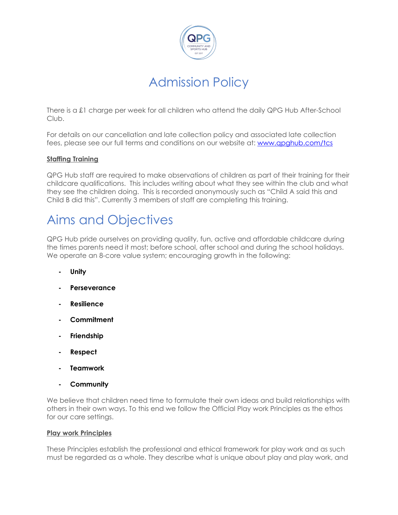

There is a £1 charge per week for all children who attend the daily QPG Hub After-School Club.

For details on our cancellation and late collection policy and associated late collection fees, please see our full terms and conditions on our website at: [www.qpghub.com/tcs](http://www.qpghub.com/tcs)

## **Staffing Training**

QPG Hub staff are required to make observations of children as part of their training for their childcare qualifications. This includes writing about what they see within the club and what they see the children doing. This is recorded anonymously such as "Child A said this and Child B did this". Currently 3 members of staff are completing this training.

## Aims and Objectives

QPG Hub pride ourselves on providing quality, fun, active and affordable childcare during the times parents need it most; before school, after school and during the school holidays. We operate an 8-core value system; encouraging growth in the following:

- **- Unity**
- **- Perseverance**
- **- Resilience**
- **- Commitment**
- **- Friendship**
- **- Respect**
- **- Teamwork**
- **- Community**

We believe that children need time to formulate their own ideas and build relationships with others in their own ways. To this end we follow the Official Play work Principles as the ethos for our care settings.

### **Play work Principles**

These Principles establish the professional and ethical framework for play work and as such must be regarded as a whole. They describe what is unique about play and play work, and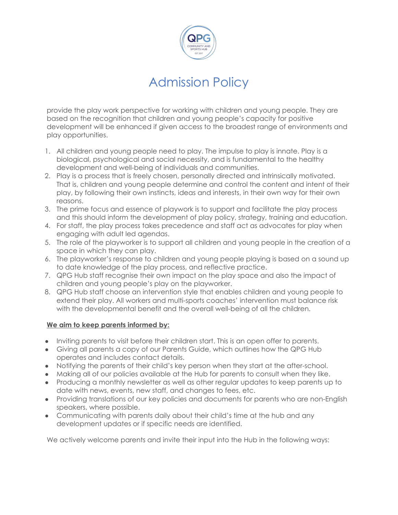

provide the play work perspective for working with children and young people. They are based on the recognition that children and young people's capacity for positive development will be enhanced if given access to the broadest range of environments and play opportunities.

- 1. All children and young people need to play. The impulse to play is innate. Play is a biological, psychological and social necessity, and is fundamental to the healthy development and well-being of individuals and communities.
- 2. Play is a process that is freely chosen, personally directed and intrinsically motivated. That is, children and young people determine and control the content and intent of their play, by following their own instincts, ideas and interests, in their own way for their own reasons.
- 3. The prime focus and essence of playwork is to support and facilitate the play process and this should inform the development of play policy, strategy, training and education.
- 4. For staff, the play process takes precedence and staff act as advocates for play when engaging with adult led agendas.
- 5. The role of the playworker is to support all children and young people in the creation of a space in which they can play.
- 6. The playworker's response to children and young people playing is based on a sound up to date knowledge of the play process, and reflective practice.
- 7. QPG Hub staff recognise their own impact on the play space and also the impact of children and young people's play on the playworker.
- 8. QPG Hub staff choose an intervention style that enables children and young people to extend their play. All workers and multi-sports coaches' intervention must balance risk with the developmental benefit and the overall well-being of all the children.

## **We aim to keep parents informed by:**

- Inviting parents to visit before their children start. This is an open offer to parents.
- Giving all parents a copy of our Parents Guide, which outlines how the QPG Hub operates and includes contact details.
- Notifying the parents of their child's key person when they start at the after-school.
- Making all of our policies available at the Hub for parents to consult when they like.
- Producing a monthly newsletter as well as other regular updates to keep parents up to date with news, events, new staff, and changes to fees, etc.
- Providing translations of our key policies and documents for parents who are non-English speakers, where possible.
- Communicating with parents daily about their child's time at the hub and any development updates or if specific needs are identified.

We actively welcome parents and invite their input into the Hub in the following ways: